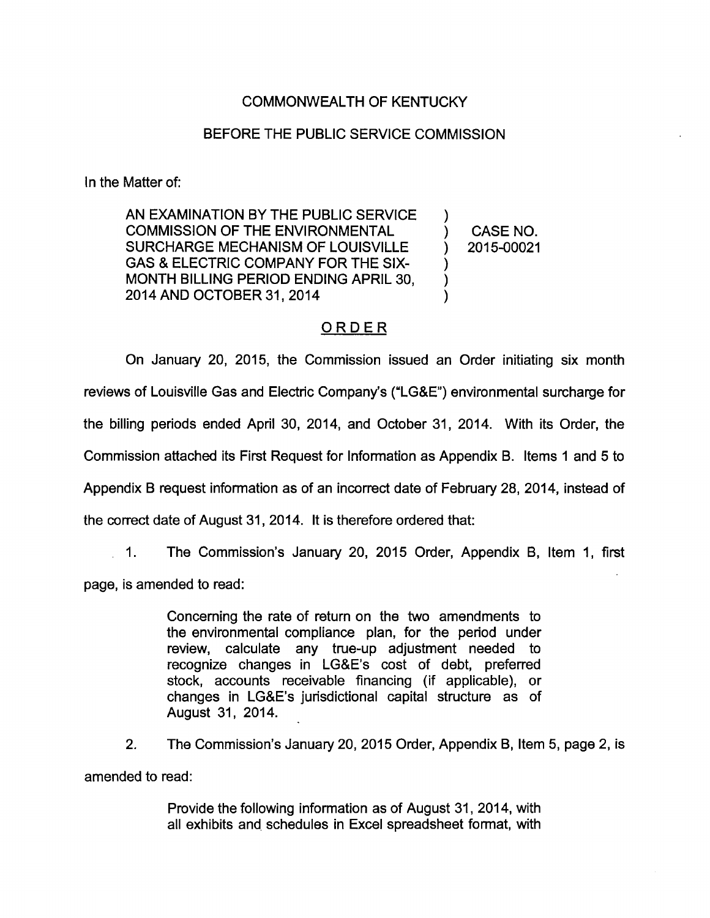## COMMONWEALTH OF KENTUCKY

## BEFORE THE PUBLIC SERVICE COMMISSION

In the Matter of:

AN EXAMINATION BY THE PUBLIC SERVICE COMMISSION OF THE ENVIRONMENTAL ) CASE NO. SURCHARGE MECHANISM OF LOUISVILLE ) 2015-00021 GAS & ELECTRIC COMPANY FOR THE SIX-MONTH BILLING PERIOD ENDING APRIL 30, 2014AND OCTOBER 31, 2014 )

## ORDER

On January 20, 2015, the Commission issued an Order initiating six month reviews of Louisville Gas and Electric Company's ("LGSE") environmental surcharge for the billing periods ended April 30, 2014, and October 31, 2014. With Its Order, the Commission attached its First Request for Information as Appendix B. Items 1 and 5 to Appendix B request information as of an incorrect date of February 28, 2014, instead of the correct date of August 31, 2014. It Is therefore ordered that:

1. The Commission's January 20, 2015 Order, Appendix B, Item 1, first page. Is amended to read:

> Concerning the rate of return on the two amendments to the environmental compliance plan, for the period under review, calculate any tme-up adjustment needed to recognize changes in LG&E's cost of debt, preferred stock, accounts receivable financing (if applicable), or changes in LG&E's jurisdictional capital structure as of August 31, 2014.

2. The Commission's January 20, 2015 Order, Appendix B, Item 5, page 2, Is amended to read:

> Provide the following information as of August 31, 2014, with all exhibits and schedules in Excel spreadsheet format, with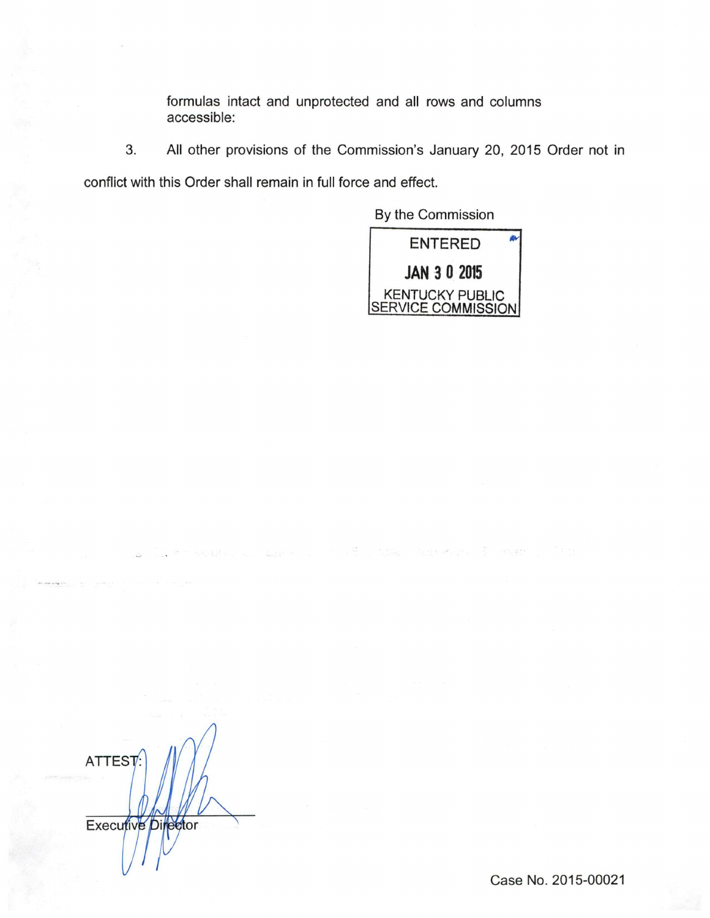formulas intact and unprotected and all rows and columns accessible:

3. All other provisions of the Commission's January 20, 2015 Order not in

conflict with this Order shall remain in full force and effect.

By the Commission



ไซต์ละ ไอร์เอฟเดอร์ เจ้าเจ้าเชียวกับวิก

ATTEST: Executive Director